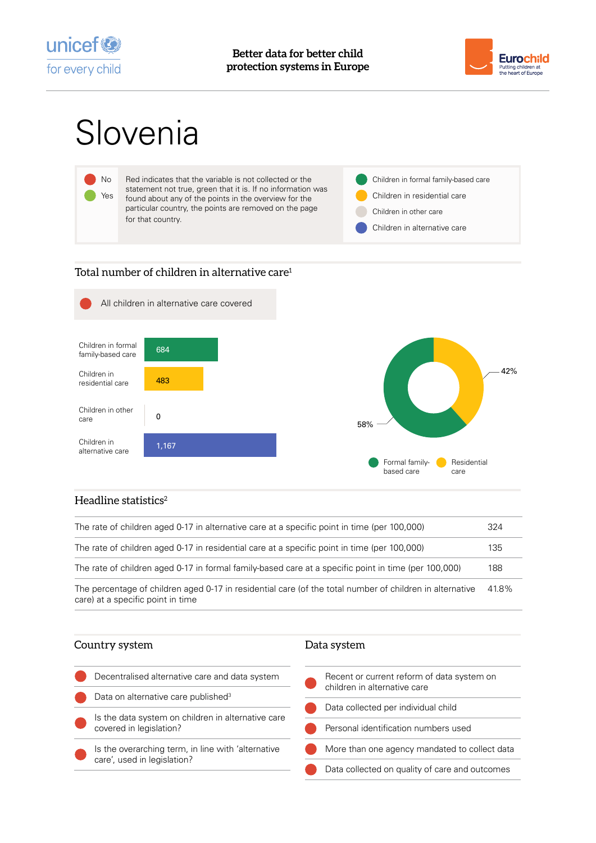



# Slovenia



# Total number of children in alternative care<sup>1</sup>



## Headline statistics $2$

| The rate of children aged 0-17 in alternative care at a specific point in time (per 100,000)                                                  | 324   |
|-----------------------------------------------------------------------------------------------------------------------------------------------|-------|
| The rate of children aged 0-17 in residential care at a specific point in time (per 100,000)                                                  | 135   |
| The rate of children aged 0-17 in formal family-based care at a specific point in time (per 100,000)                                          | 188   |
| The percentage of children aged 0-17 in residential care (of the total number of children in alternative<br>care) at a specific point in time | 41.8% |

#### Country system

| Decentralised alternative care and data system                                    | Recent or current reform of data system on<br>children in alternative care |
|-----------------------------------------------------------------------------------|----------------------------------------------------------------------------|
| Data on alternative care published <sup>3</sup>                                   |                                                                            |
| Is the data system on children in alternative care<br>covered in legislation?     | Data collected per individual child                                        |
|                                                                                   | Personal identification numbers used                                       |
| Is the overarching term, in line with 'alternative<br>care', used in legislation? | More than one agency mandated to collect data                              |
|                                                                                   | Data collected on quality of care and outcomes                             |
|                                                                                   |                                                                            |